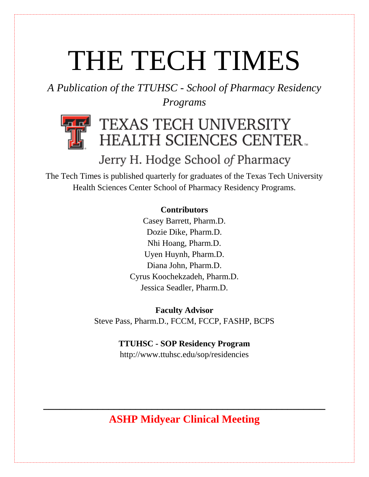# THE TECH TIMES

*A Publication of the TTUHSC - School of Pharmacy Residency Programs*



# TEXAS TECH UNIVERSITY **HEALTH SCIENCES CENTER.**

# Jerry H. Hodge School of Pharmacy

The Tech Times is published quarterly for graduates of the Texas Tech University Health Sciences Center School of Pharmacy Residency Programs.

## **Contributors**

Casey Barrett, Pharm.D. Dozie Dike, Pharm.D. Nhi Hoang, Pharm.D. Uyen Huynh, Pharm.D. Diana John, Pharm.D. Cyrus Koochekzadeh, Pharm.D. Jessica Seadler, Pharm.D.

**Faculty Advisor** Steve Pass, Pharm.D., FCCM, FCCP, FASHP, BCPS

## **TTUHSC - SOP Residency Program**

http://www.ttuhsc.edu/sop/residencies

# **ASHP Midyear Clinical Meeting**

**\_\_\_\_\_\_\_\_\_\_\_\_\_\_\_\_\_\_\_\_\_\_\_\_\_\_\_\_\_\_\_\_\_\_\_\_\_\_\_\_\_\_\_\_\_\_\_\_\_\_\_\_**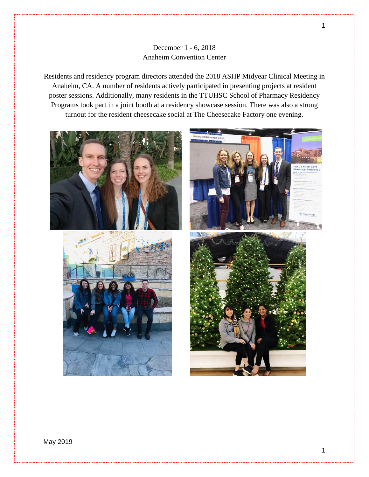#### December 1 - 6, 2018 Anaheim Convention Center

Residents and residency program directors attended the 2018 ASHP Midyear Clinical Meeting in Anaheim, CA. A number of residents actively participated in presenting projects at resident poster sessions. Additionally, many residents in the TTUHSC School of Pharmacy Residency Programs took part in a joint booth at a residency showcase session. There was also a strong turnout for the resident cheesecake social at The Cheesecake Factory one evening.



1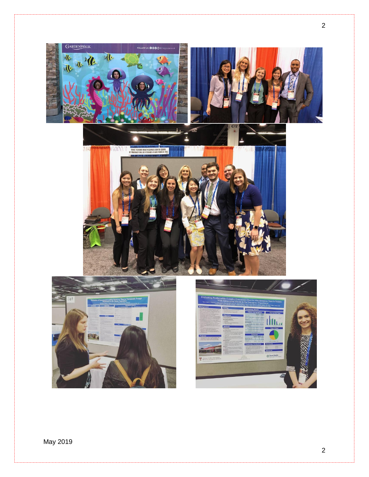

May 2019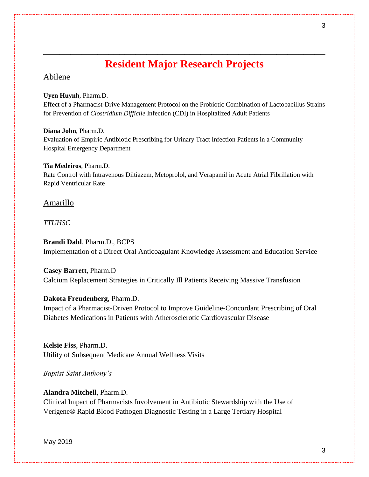## **Resident Major Research Projects**

**\_\_\_\_\_\_\_\_\_\_\_\_\_\_\_\_\_\_\_\_\_\_\_\_\_\_\_\_\_\_\_\_\_\_\_\_\_\_\_\_\_\_\_\_\_\_\_\_\_\_\_\_**

### Abilene

#### **Uyen Huynh**, Pharm.D.

Effect of a Pharmacist-Drive Management Protocol on the Probiotic Combination of Lactobacillus Strains for Prevention of *Clostridium Difficile* Infection (CDI) in Hospitalized Adult Patients

#### **Diana John**, Pharm.D.

Evaluation of Empiric Antibiotic Prescribing for Urinary Tract Infection Patients in a Community Hospital Emergency Department

#### **Tia Medeiros**, Pharm.D.

Rate Control with Intravenous Diltiazem, Metoprolol, and Verapamil in Acute Atrial Fibrillation with Rapid Ventricular Rate

#### Amarillo

#### *TTUHSC*

**Brandi Dahl**, Pharm.D., BCPS Implementation of a Direct Oral Anticoagulant Knowledge Assessment and Education Service

**Casey Barrett**, Pharm.D Calcium Replacement Strategies in Critically Ill Patients Receiving Massive Transfusion

#### **Dakota Freudenberg**, Pharm.D.

Impact of a Pharmacist-Driven Protocol to Improve Guideline-Concordant Prescribing of Oral Diabetes Medications in Patients with Atherosclerotic Cardiovascular Disease

**Kelsie Fiss**, Pharm.D. Utility of Subsequent Medicare Annual Wellness Visits

*Baptist Saint Anthony's* 

#### **Alandra Mitchell**, Pharm.D.

Clinical Impact of Pharmacists Involvement in Antibiotic Stewardship with the Use of Verigene® Rapid Blood Pathogen Diagnostic Testing in a Large Tertiary Hospital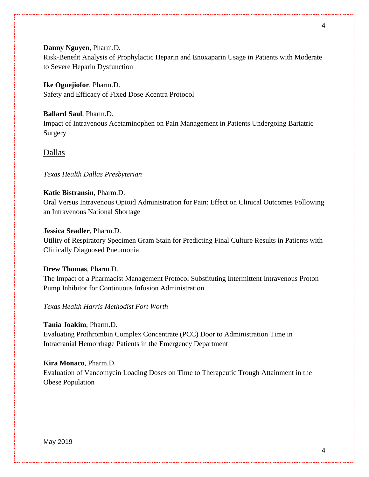#### **Danny Nguyen**, Pharm.D.

Risk-Benefit Analysis of Prophylactic Heparin and Enoxaparin Usage in Patients with Moderate to Severe Heparin Dysfunction

#### **Ike Oguejiofor**, Pharm.D.

Safety and Efficacy of Fixed Dose Kcentra Protocol

#### **Ballard Saul**, Pharm.D.

Impact of Intravenous Acetaminophen on Pain Management in Patients Undergoing Bariatric Surgery

#### Dallas

#### *Texas Health Dallas Presbyterian*

#### **Katie Bistransin**, Pharm.D.

Oral Versus Intravenous Opioid Administration for Pain: Effect on Clinical Outcomes Following an Intravenous National Shortage

#### **Jessica Seadler**, Pharm.D.

Utility of Respiratory Specimen Gram Stain for Predicting Final Culture Results in Patients with Clinically Diagnosed Pneumonia

#### **Drew Thomas**, Pharm.D.

The Impact of a Pharmacist Management Protocol Substituting Intermittent Intravenous Proton Pump Inhibitor for Continuous Infusion Administration

#### *Texas Health Harris Methodist Fort Worth*

#### **Tania Joakim**, Pharm.D.

Evaluating Prothrombin Complex Concentrate (PCC) Door to Administration Time in Intracranial Hemorrhage Patients in the Emergency Department

#### **Kira Monaco**, Pharm.D.

Evaluation of Vancomycin Loading Doses on Time to Therapeutic Trough Attainment in the Obese Population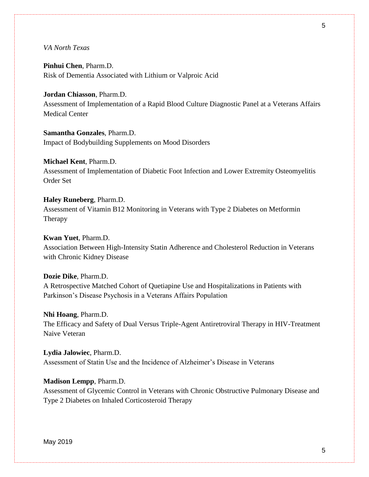**Pinhui Chen**, Pharm.D. Risk of Dementia Associated with Lithium or Valproic Acid

**Jordan Chiasson**, Pharm.D. Assessment of Implementation of a Rapid Blood Culture Diagnostic Panel at a Veterans Affairs Medical Center

**Samantha Gonzales**, Pharm.D. Impact of Bodybuilding Supplements on Mood Disorders

**Michael Kent**, Pharm.D. Assessment of Implementation of Diabetic Foot Infection and Lower Extremity Osteomyelitis Order Set

**Haley Runeberg**, Pharm.D. Assessment of Vitamin B12 Monitoring in Veterans with Type 2 Diabetes on Metformin Therapy

**Kwan Yuet**, Pharm.D. Association Between High-Intensity Statin Adherence and Cholesterol Reduction in Veterans with Chronic Kidney Disease

**Dozie Dike**, Pharm.D. A Retrospective Matched Cohort of Quetiapine Use and Hospitalizations in Patients with Parkinson's Disease Psychosis in a Veterans Affairs Population

**Nhi Hoang**, Pharm.D. The Efficacy and Safety of Dual Versus Triple-Agent Antiretroviral Therapy in HIV-Treatment Naive Veteran

**Lydia Jalowiec**, Pharm.D. Assessment of Statin Use and the Incidence of Alzheimer's Disease in Veterans

**Madison Lempp**, Pharm.D. Assessment of Glycemic Control in Veterans with Chronic Obstructive Pulmonary Disease and Type 2 Diabetes on Inhaled Corticosteroid Therapy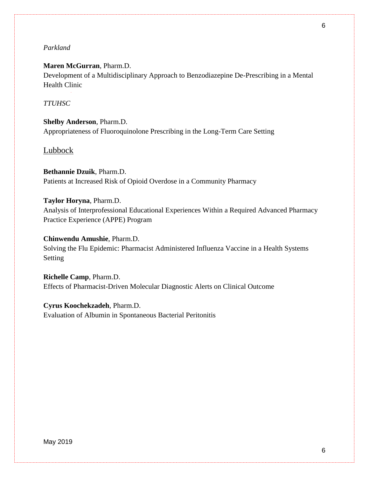#### *Parkland*

#### **Maren McGurran**, Pharm.D.

Development of a Multidisciplinary Approach to Benzodiazepine De-Prescribing in a Mental Health Clinic

#### *TTUHSC*

**Shelby Anderson**, Pharm.D. Appropriateness of Fluoroquinolone Prescribing in the Long-Term Care Setting

#### Lubbock

**Bethannie Dzuik**, Pharm.D. Patients at Increased Risk of Opioid Overdose in a Community Pharmacy

**Taylor Horyna**, Pharm.D. Analysis of Interprofessional Educational Experiences Within a Required Advanced Pharmacy Practice Experience (APPE) Program

**Chinwendu Amushie**, Pharm.D. Solving the Flu Epidemic: Pharmacist Administered Influenza Vaccine in a Health Systems Setting

**Richelle Camp**, Pharm.D. Effects of Pharmacist-Driven Molecular Diagnostic Alerts on Clinical Outcome

**Cyrus Koochekzadeh**, Pharm.D. Evaluation of Albumin in Spontaneous Bacterial Peritonitis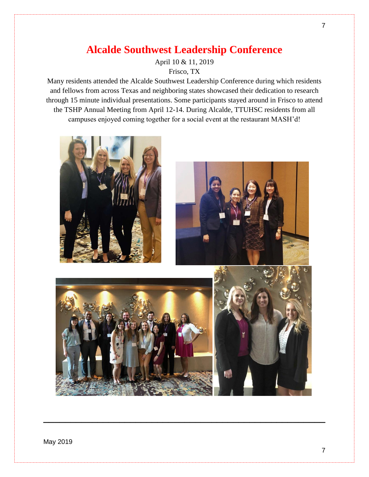## **Alcalde Southwest Leadership Conference**

April 10 & 11, 2019

Frisco, TX

Many residents attended the Alcalde Southwest Leadership Conference during which residents and fellows from across Texas and neighboring states showcased their dedication to research through 15 minute individual presentations. Some participants stayed around in Frisco to attend the TSHP Annual Meeting from April 12-14. During Alcalde, TTUHSC residents from all campuses enjoyed coming together for a social event at the restaurant MASH'd!



**\_\_\_\_\_\_\_\_\_\_\_\_\_\_\_\_\_\_\_\_\_\_\_\_\_\_\_\_\_\_\_\_\_\_\_\_\_\_\_\_\_\_\_\_\_\_\_\_\_\_\_\_**

May 2019

7